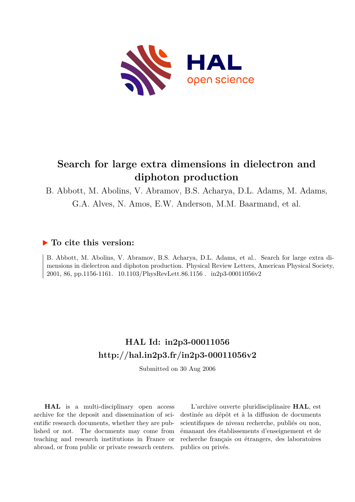

# **Search for large extra dimensions in dielectron and diphoton production**

B. Abbott, M. Abolins, V. Abramov, B.S. Acharya, D.L. Adams, M. Adams, G.A. Alves, N. Amos, E.W. Anderson, M.M. Baarmand, et al.

## **To cite this version:**

B. Abbott, M. Abolins, V. Abramov, B.S. Acharya, D.L. Adams, et al.. Search for large extra dimensions in dielectron and diphoton production. Physical Review Letters, American Physical Society, 2001, 86, pp.1156-1161. 10.1103/PhysRevLett.86.1156. in2p3-00011056v2

# **HAL Id: in2p3-00011056 <http://hal.in2p3.fr/in2p3-00011056v2>**

Submitted on 30 Aug 2006

**HAL** is a multi-disciplinary open access archive for the deposit and dissemination of scientific research documents, whether they are published or not. The documents may come from teaching and research institutions in France or abroad, or from public or private research centers.

L'archive ouverte pluridisciplinaire **HAL**, est destinée au dépôt et à la diffusion de documents scientifiques de niveau recherche, publiés ou non, émanant des établissements d'enseignement et de recherche français ou étrangers, des laboratoires publics ou privés.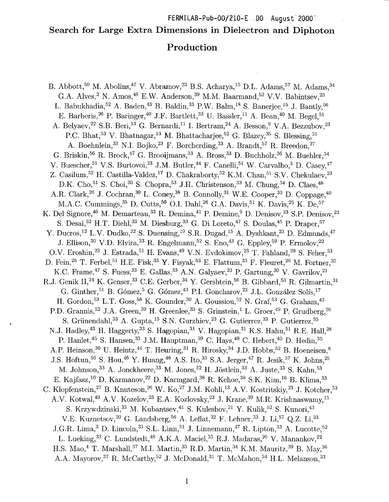#### FERMILAB-Pub-007210-E DO August 20003.

## Search for Large Extra Dimensions in Dielectron and Diphoton

## Production

B. Abbott,<sup>50</sup> M. Abolins,<sup>47</sup> V. Abramov,<sup>23</sup> B.S. Acharya,<sup>15</sup> D.L. Adams,<sup>57</sup> M. Adams,<sup>34</sup> G.A. Alves,<sup>2</sup> N. Amos,<sup>46</sup> E.W. Anderson,<sup>39</sup> M.M. Baarmand,<sup>52</sup> V.V. Babintsev,<sup>23</sup> L. Babukhadia, <sup>52</sup> A. Baden, <sup>43</sup> B. Baldin, <sup>33</sup> P.W. Balm, <sup>18</sup> S. Banerjee, <sup>15</sup> J. Bantly, <sup>56</sup> E. Barberis, <sup>26</sup> P. Baringer, <sup>40</sup> J.F. Bartlett, <sup>33</sup> U. Bassler, <sup>11</sup> A. Bean, <sup>40</sup> M. Begel, <sup>51</sup> A. Belyaev,<sup>22</sup> S.B. Beri,<sup>13</sup> G. Bernardi,<sup>11</sup> I. Bertram,<sup>24</sup> A. Besson,<sup>9</sup> V.A. Bezzubov,<sup>23</sup> P.C. Bhat,<sup>33</sup> V. Bhatnagar,<sup>13</sup> M. Bhattacharjee,<sup>52</sup> G. Blazey,<sup>35</sup> S. Blessing,<sup>31</sup> A. Boehnlein,<sup>33</sup> N.I. Bojko,<sup>23</sup> F. Borcherding,<sup>33</sup> A. Brandt,<sup>57</sup> R. Breedon,<sup>27</sup> G. Briskin,<sup>56</sup> R. Brock,<sup>47</sup> G. Brooijmans,<sup>33</sup> A. Bross,<sup>33</sup> D. Buchholz,<sup>36</sup> M. Buehler,<sup>34</sup> V. Buescher, <sup>51</sup> V.S. Burtovoi, <sup>23</sup> J.M. Butler, <sup>44</sup> F. Canelli, <sup>51</sup> W. Carvalho, <sup>3</sup> D. Casev, <sup>47</sup> Z. Casilum,<sup>52</sup> H. Castilla-Valdez,<sup>17</sup> D. Chakraborty,<sup>52</sup> K.M. Chan,<sup>51</sup> S.V. Chekulaev,<sup>23</sup> D.K. Cho,<sup>51</sup> S. Choi,<sup>30</sup> S. Chopra,<sup>53</sup> J.H. Christenson,<sup>33</sup> M. Chung,<sup>34</sup> D. Claes,<sup>48</sup> A.R. Clark,<sup>26</sup> J. Cochran,<sup>30</sup> L. Coney,<sup>38</sup> B. Connolly,<sup>31</sup> W.E. Cooper,<sup>33</sup> D. Coppage,<sup>40</sup> M.A.C. Cummings,<sup>35</sup> D. Cutts,<sup>56</sup> O.I. Dahl,<sup>26</sup> G.A. Davis,<sup>51</sup> K. Davis,<sup>25</sup> K. De,<sup>57</sup> K. Del Signore,<sup>46</sup> M. Demarteau,<sup>33</sup> R. Demina,<sup>41</sup> P. Demine,<sup>9</sup> D. Denisov,<sup>33</sup> S.P. Denisov,<sup>23</sup> S. Desai,<sup>52</sup> H.T. Diehl,<sup>33</sup> M. Diesburg,<sup>33</sup> G. Di Loreto,<sup>47</sup> S. Doulas,<sup>45</sup> P. Draper,<sup>57</sup> Y. Ducros,<sup>12</sup> L.V. Dudko,<sup>22</sup> S. Duensing,<sup>19</sup> S.R. Dugad,<sup>15</sup> A. Dyshkant,<sup>23</sup> D. Edmunds,<sup>47</sup> J. Ellison, <sup>30</sup> V.D. Elvira, <sup>33</sup> R. Engelmann, <sup>52</sup> S. Eno, <sup>43</sup> G. Eppley, <sup>59</sup> P. Ermolov, <sup>22</sup> O.V. Eroshin,<sup>23</sup> J. Estrada,<sup>51</sup> H. Evans,<sup>49</sup> V.N. Evdokimov,<sup>23</sup> T. Fahland,<sup>29</sup> S. Feher,<sup>33</sup> D. Fein, <sup>25</sup> T. Ferbel, <sup>51</sup> H.E. Fisk, <sup>33</sup> Y. Fisyak, <sup>53</sup> E. Flattum, <sup>33</sup> F. Fleuret, <sup>26</sup> M. Fortner, <sup>35</sup> K.C. Frame,<sup>47</sup> S. Fuess,<sup>33</sup> E. Gallas,<sup>33</sup> A.N. Galyaev,<sup>23</sup> P. Gartung,<sup>30</sup> V. Gavrilov,<sup>21</sup> R.J. Genik II,<sup>24</sup> K. Genser,<sup>33</sup> C.E. Gerber,<sup>34</sup> Y. Gershtein,<sup>56</sup> B. Gibbard,<sup>53</sup> R. Gilmartin,<sup>31</sup> G. Ginther, <sup>51</sup> B. Gómez, <sup>5</sup> G. Gómez, <sup>43</sup> P.I. Goncharov, <sup>23</sup> J.L. González Solís, <sup>17</sup> H. Gordon, <sup>53</sup> L.T. Goss, <sup>58</sup> K. Gounder, <sup>30</sup> A. Goussiou, <sup>52</sup> N. Graf, <sup>53</sup> G. Graham, <sup>43</sup> P.D. Grannis,<sup>52</sup> J.A. Green,<sup>39</sup> H. Greenlee,<sup>33</sup> S. Grinstein,<sup>1</sup> L. Groen,<sup>49</sup> P. Grudberg,<sup>26</sup> S. Grünendahl, <sup>33</sup> A. Gupta, <sup>15</sup> S.N. Gurzhiev, <sup>23</sup> G. Gutierrez, <sup>33</sup> P. Gutierrez, <sup>55</sup> N.J. Hadley,<sup>43</sup> H. Haggerty,<sup>33</sup> S. Hagopian,<sup>31</sup> V. Hagopian,<sup>31</sup> K.S. Hahn,<sup>51</sup> R.E. Hall,<sup>28</sup> P. Hanlet,<sup>45</sup> S. Hansen,<sup>33</sup> J.M. Hauptman,<sup>39</sup> C. Hays,<sup>49</sup> C. Hebert,<sup>40</sup> D. Hedin,<sup>35</sup> A.P. Heinson,<sup>30</sup> U. Heintz,<sup>44</sup> T. Heuring,<sup>31</sup> R. Hirosky,<sup>34</sup> J.D. Hobbs,<sup>52</sup> B. Hoeneisen,<sup>8</sup> J.S. Hoftun,<sup>56</sup> S. Hou,<sup>46</sup> Y. Huang,<sup>46</sup> A.S. Ito,<sup>33</sup> S.A. Jerger,<sup>47</sup> R. Jesik,<sup>37</sup> K. Johns,<sup>25</sup> M. Johnson, <sup>33</sup> A. Jonckheere, <sup>33</sup> M. Jones, <sup>32</sup> H. Jöstlein, <sup>33</sup> A. Juste, <sup>33</sup> S. Kahn, <sup>53</sup> E. Kajfasz,<sup>10</sup> D. Karmanov,<sup>22</sup> D. Karmgard,<sup>38</sup> R. Kehoe,<sup>38</sup> S.K. Kim,<sup>16</sup> B. Klima,<sup>33</sup> C. Klopfenstein,<sup>27</sup> B. Knuteson,<sup>26</sup> W. Ko,<sup>27</sup> J.M. Kohli,<sup>13</sup> A.V. Kostritskiy,<sup>23</sup> J. Kotcher,<sup>53</sup> A.V. Kotwal,<sup>49</sup> A.V. Kozelov,<sup>23</sup> E.A. Kozlovsky,<sup>23</sup> J. Krane,<sup>39</sup> M.R. Krishnaswamy,<sup>15</sup> S. Krzywdzinski, 33 M. Kubantsev, 41 S. Kuleshov, 21 Y. Kulik, 52 S. Kunori, 43 V.E. Kuznetsov, <sup>30</sup> G. Landsberg, <sup>56</sup> A. Leflat, <sup>22</sup> F. Lehner, <sup>33</sup> J. Li, <sup>57</sup> Q.Z. Li, <sup>33</sup> J.G.R. Lima,<sup>3</sup> D. Lincoln,<sup>33</sup> S.L. Linn,<sup>31</sup> J. Linnemann,<sup>47</sup> R. Lipton,<sup>33</sup> A. Lucotte,<sup>52</sup> L. Lueking, <sup>33</sup> C. Lundstedt, <sup>48</sup> A.K.A. Maciel, <sup>35</sup> R.J. Madaras, <sup>26</sup> V. Manankov, <sup>22</sup> H.S. Mao,<sup>4</sup> T. Marshall,<sup>37</sup> M.I. Martin,<sup>33</sup> R.D. Martin,<sup>34</sup> K.M. Mauritz,<sup>39</sup> B. May,<sup>36</sup> A.A. Mayorov,<sup>37</sup> R. McCarthy,<sup>52</sup> J. McDonald,<sup>31</sup> T. McMahon,<sup>54</sup> H.L. Melanson,<sup>33</sup>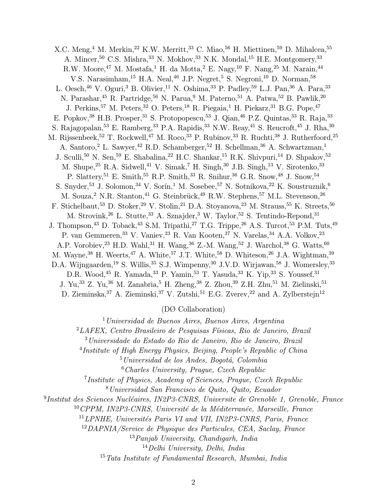X.C. Meng,<sup>4</sup> M. Merkin,<sup>22</sup> K.W. Merritt,<sup>33</sup> C. Miao,<sup>56</sup> H. Miettinen,<sup>59</sup> D. Mihalcea,<sup>55</sup> A. Mincer,  $50$  C.S. Mishra,  $33$  N. Mokhov,  $33$  N.K. Mondal,  $15$  H.E. Montgomery,  $33$ R.W. Moore,  $47$  M. Mostafa,  $1$  H. da Motta,  $2$  E. Nagy,  $10$  F. Nang,  $25$  M. Narain,  $44$ V.S. Narasimham,<sup>15</sup> H.A. Neal,<sup>46</sup> J.P. Negret,<sup>5</sup> S. Negroni,<sup>10</sup> D. Norman,<sup>58</sup> L. Oesch,<sup>46</sup> V. Oguri,<sup>3</sup> B. Olivier,<sup>11</sup> N. Oshima,<sup>33</sup> P. Padley,<sup>59</sup> L.J. Pan,<sup>36</sup> A. Para,<sup>33</sup> N. Parashar,<sup>45</sup> R. Partridge,<sup>56</sup> N. Parua,<sup>9</sup> M. Paterno,<sup>51</sup> A. Patwa,<sup>52</sup> B. Pawlik,<sup>20</sup> J. Perkins,<sup>57</sup> M. Peters,<sup>32</sup> O. Peters,<sup>18</sup> R. Piegaia,<sup>1</sup> H. Piekarz,<sup>31</sup> B.G. Pope,<sup>47</sup> E. Popkov,<sup>38</sup> H.B. Prosper,<sup>31</sup> S. Protopopescu,<sup>53</sup> J. Qian,<sup>46</sup> P.Z. Quintas,<sup>33</sup> R. Raja,<sup>33</sup> S. Rajagopalan,<sup>53</sup> E. Ramberg,<sup>33</sup> P.A. Rapidis,<sup>33</sup> N.W. Reay,<sup>41</sup> S. Reucroft,<sup>45</sup> J. Rha,<sup>30</sup> M. Rijssenbeek, <sup>52</sup> T. Rockwell, <sup>47</sup> M. Roco, <sup>33</sup> P. Rubinov, <sup>33</sup> R. Ruchti, <sup>38</sup> J. Rutherfoord, <sup>25</sup> A. Santoro,<sup>2</sup> L. Sawyer,<sup>42</sup> R.D. Schamberger,<sup>52</sup> H. Schellman,<sup>36</sup> A. Schwartzman,<sup>1</sup> J. Sculli, <sup>50</sup> N. Sen, <sup>59</sup> E. Shabalina, <sup>22</sup> H.C. Shankar, <sup>15</sup> R.K. Shivpuri, <sup>14</sup> D. Shpakov, <sup>52</sup> M. Shupe,<sup>25</sup> R.A. Sidwell,<sup>41</sup> V. Simak,<sup>7</sup> H. Singh,<sup>30</sup> J.B. Singh,<sup>13</sup> V. Sirotenko,<sup>33</sup> P. Slattery,<sup>51</sup> E. Smith,<sup>55</sup> R.P. Smith,<sup>33</sup> R. Snihur,<sup>36</sup> G.R. Snow,<sup>48</sup> J. Snow,<sup>54</sup> S. Snyder,<sup>53</sup> J. Solomon,<sup>34</sup> V. Sorín,<sup>1</sup> M. Sosebee,<sup>57</sup> N. Sotnikova,<sup>22</sup> K. Soustruznik,<sup>6</sup> M. Souza,<sup>2</sup> N.R. Stanton,<sup>41</sup> G. Steinbrück,<sup>49</sup> R.W. Stephens,<sup>57</sup> M.L. Stevenson,<sup>26</sup> F. Stichelbaut,<sup>53</sup> D. Stoker,<sup>29</sup> V. Stolin,<sup>21</sup> D.A. Stoyanova,<sup>23</sup> M. Strauss,<sup>55</sup> K. Streets,<sup>50</sup> M. Strovink,<sup>26</sup> L. Stutte,<sup>33</sup> A. Sznajder,<sup>3</sup> W. Taylor,<sup>52</sup> S. Tentindo-Repond,<sup>31</sup> J. Thompson,<sup>43</sup> D. Toback,<sup>43</sup> S.M. Tripathi,<sup>27</sup> T.G. Trippe,<sup>26</sup> A.S. Turcot,<sup>53</sup> P.M. Tuts,<sup>49</sup> P. van Gemmeren,<sup>33</sup> V. Vaniev,<sup>23</sup> R. Van Kooten,<sup>37</sup> N. Varelas,<sup>34</sup> A.A. Volkov,<sup>23</sup> A.P. Vorobiev, <sup>23</sup> H.D. Wahl,<sup>31</sup> H. Wang, <sup>36</sup> Z.-M. Wang, <sup>52</sup> J. Warchol, <sup>38</sup> G. Watts, <sup>60</sup> M. Wayne,<sup>38</sup> H. Weerts,<sup>47</sup> A. White,<sup>57</sup> J.T. White,<sup>58</sup> D. Whiteson,<sup>26</sup> J.A. Wightman,<sup>39</sup> D.A. Wijngaarden,<sup>19</sup> S. Willis,<sup>35</sup> S.J. Wimpenny,<sup>30</sup> J.V.D. Wirjawan,<sup>58</sup> J. Womersley,<sup>33</sup> D.R. Wood, <sup>45</sup> R. Yamada, <sup>33</sup> P. Yamin, <sup>53</sup> T. Yasuda, <sup>33</sup> K. Yip, <sup>33</sup> S. Youssef, <sup>31</sup> J. Yu,<sup>33</sup> Z. Yu,<sup>36</sup> M. Zanabria,<sup>5</sup> H. Zheng,<sup>38</sup> Z. Zhou,<sup>39</sup> Z.H. Zhu,<sup>51</sup> M. Zielinski,<sup>51</sup> D. Zieminska,<sup>37</sup> A. Zieminski,<sup>37</sup> V. Zutshi,<sup>51</sup> E.G. Zverev,<sup>22</sup> and A. Zylberstejn<sup>12</sup>

(DØ Collaboration)

 $1$ Universidad de Buenos Aires, Buenos Aires, Argentina

 ${}^{2}LAFEX$ , Centro Brasileiro de Pesquisas Físicas, Rio de Janeiro, Brazil

<sup>3</sup>Universidade do Estado do Rio de Janeiro, Rio de Janeiro, Brazil

<sup>4</sup>Institute of High Energy Physics, Beijing, People's Republic of China

 $5$ Universidad de los Andes, Bogotá, Colombia

 $6$ Charles University, Prague, Czech Republic

<sup>7</sup>Institute of Physics, Academy of Sciences, Prague, Czech Republic

<sup>8</sup>Universidad San Francisco de Quito, Quito, Ecuador

 $^{9}$ Institut des Sciences Nucléaires, IN2P3-CNRS, Universite de Grenoble 1, Grenoble, France

 $10$ CPPM, IN2P3-CNRS, Université de la Méditerranée, Marseille, France

 $^{11}$ LPNHE, Universités Paris VI and VII, IN2P3-CNRS, Paris, France

<sup>12</sup>DAPNIA/Service de Physique des Particules, CEA, Saclay, France

 $^{13}Panjab$  University, Chandigarh, India

<sup>14</sup>Delhi University, Delhi, India

 $15$ Tata Institute of Fundamental Research, Mumbai, India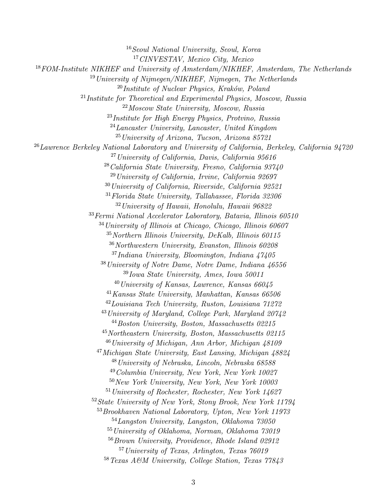Seoul National University, Seoul, Korea CINVESTAV, Mexico City, Mexico FOM-Institute NIKHEF and University of Amsterdam/NIKHEF, Amsterdam, The Netherlands University of Nijmegen/NIKHEF, Nijmegen, The Netherlands  $^{20}$ Institute of Nuclear Physics, Kraków, Poland Institute for Theoretical and Experimental Physics, Moscow, Russia Moscow State University, Moscow, Russia  $^{23}$ Institute for High Energy Physics, Protvino, Russia  $^{24}$ Lancaster University, Lancaster, United Kingdom University of Arizona, Tucson, Arizona 85721  $^{26}$ Lawrence Berkeley National Laboratory and University of California, Berkeley, California 94720 University of California, Davis, California 95616 California State University, Fresno, California 93740 University of California, Irvine, California 92697 University of California, Riverside, California 92521 Florida State University, Tallahassee, Florida 32306 University of Hawaii, Honolulu, Hawaii 96822 Fermi National Accelerator Laboratory, Batavia, Illinois 60510 University of Illinois at Chicago, Chicago, Illinois 60607 Northern Illinois University, DeKalb, Illinois 60115 Northwestern University, Evanston, Illinois 60208 Indiana University, Bloomington, Indiana  $47405$ University of Notre Dame, Notre Dame, Indiana 46556 Iowa State University, Ames, Iowa 50011  $^{40}$ University of Kansas, Lawrence, Kansas 66045 Kansas State University, Manhattan, Kansas 66506 Louisiana Tech University, Ruston, Louisiana 71272 University of Maryland, College Park, Maryland 20742 Boston University, Boston, Massachusetts 02215 Northeastern University, Boston, Massachusetts 02115  $^{46}$ University of Michigan, Ann Arbor, Michigan 48109 Michigan State University, East Lansing, Michigan 48824 University of Nebraska, Lincoln, Nebraska 68588 Columbia University, New York, New York 10027 New York University, New York, New York 10003 University of Rochester, Rochester, New York 14627 <sup>52</sup> State University of New York, Stony Brook, New York 11794 Brookhaven National Laboratory, Upton, New York 11973 Langston University, Langston, Oklahoma 73050 University of Oklahoma, Norman, Oklahoma 73019 Brown University, Providence, Rhode Island 02912 University of Texas, Arlington, Texas 76019 Texas A&M University, College Station, Texas 77843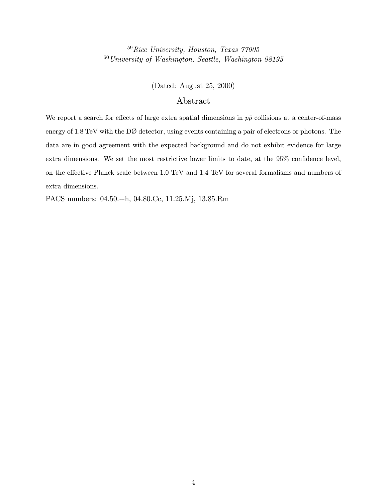<sup>59</sup>Rice University, Houston, Texas 77005  $^{60}\!$  University of Washington, Seattle, Washington 98195

(Dated: August 25, 2000)

#### Abstract

We report a search for effects of large extra spatial dimensions in  $p\bar{p}$  collisions at a center-of-mass energy of 1.8 TeV with the DØ detector, using events containing a pair of electrons or photons. The data are in good agreement with the expected background and do not exhibit evidence for large extra dimensions. We set the most restrictive lower limits to date, at the 95% confidence level, on the effective Planck scale between 1.0 TeV and 1.4 TeV for several formalisms and numbers of extra dimensions.

PACS numbers: 04.50.+h, 04.80.Cc, 11.25.Mj, 13.85.Rm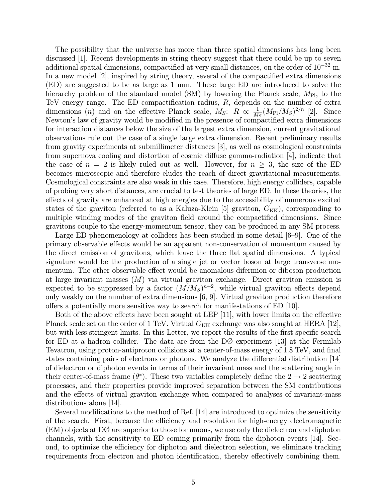The possibility that the universe has more than three spatial dimensions has long been discussed [1]. Recent developments in string theory suggest that there could be up to seven additional spatial dimensions, compactified at very small distances, on the order of  $10^{-32}$  m. In a new model [2], inspired by string theory, several of the compactified extra dimensions (ED) are suggested to be as large as 1 mm. These large ED are introduced to solve the hierarchy problem of the standard model (SM) by lowering the Planck scale,  $M_{\text{Pl}}$ , to the TeV energy range. The ED compactification radius, R, depends on the number of extra dimensions (n) and on the effective Planck scale,  $M_S$ :  $R \propto \frac{1}{M_S} (M_{\text{Pl}}/M_S)^{2/n}$  [2]. Since Newton's law of gravity would be modified in the presence of compactified extra dimensions for interaction distances below the size of the largest extra dimension, current gravitational observations rule out the case of a single large extra dimension. Recent preliminary results from gravity experiments at submillimeter distances [3], as well as cosmological constraints from supernova cooling and distortion of cosmic diffuse gamma-radiation [4], indicate that the case of  $n = 2$  is likely ruled out as well. However, for  $n \geq 3$ , the size of the ED becomes microscopic and therefore eludes the reach of direct gravitational measurements. Cosmological constraints are also weak in this case. Therefore, high energy colliders, capable of probing very short distances, are crucial to test theories of large ED. In these theories, the effects of gravity are enhanced at high energies due to the accessibility of numerous excited states of the graviton (referred to as a Kaluza-Klein [5] graviton,  $G_{KK}$ ), corresponding to multiple winding modes of the graviton field around the compactified dimensions. Since gravitons couple to the energy-momentum tensor, they can be produced in any SM process.

Large ED phenomenology at colliders has been studied in some detail [6—9]. One of the primary observable effects would be an apparent non-conservation of momentum caused by the direct emission of gravitons, which leave the three flat spatial dimensions. A typical signature would be the production of a single jet or vector boson at large transverse momentum. The other observable effect would be anomalous difermion or diboson production at large invariant masses  $(M)$  via virtual graviton exchange. Direct graviton emission is expected to be suppressed by a factor  $(M/M_S)^{n+2}$ , while virtual graviton effects depend only weakly on the number of extra dimensions [6, 9]. Virtual graviton production therefore offers a potentially more sensitive way to search for manifestations of ED [10].

Both of the above effects have been sought at LEP [11], with lower limits on the effective Planck scale set on the order of 1 TeV. Virtual  $G_{KK}$  exchange was also sought at HERA [12], but with less stringent limits. In this Letter, we report the results of the first specific search for ED at a hadron collider. The data are from the  $D\varnothing$  experiment [13] at the Fermilab Tevatron, using proton-antiproton collisions at a center-of-mass energy of 1.8 TeV, and final states containing pairs of electrons or photons. We analyze the differential distribution [14] of dielectron or diphoton events in terms of their invariant mass and the scattering angle in their center-of-mass frame  $(\theta^*)$ . These two variables completely define the  $2 \rightarrow 2$  scattering processes, and their properties provide improved separation between the SM contributions and the effects of virtual graviton exchange when compared to analyses of invariant-mass distributions alone [14].

Several modifications to the method of Ref. [14] are introduced to optimize the sensitivity of the search. First, because the efficiency and resolution for high-energy electromagnetic (EM) objects at DØ are superior to those for muons, we use only the dielectron and diphoton channels, with the sensitivity to ED coming primarily from the diphoton events [14]. Second, to optimize the efficiency for diphoton and dielectron selection, we eliminate tracking requirements from electron and photon identification, thereby effectively combining them.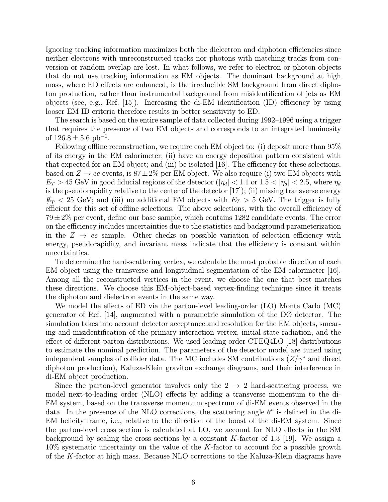Ignoring tracking information maximizes both the dielectron and diphoton efficiencies since neither electrons with unreconstructed tracks nor photons with matching tracks from conversion or random overlap are lost. In what follows, we refer to electron or photon objects that do not use tracking information as EM objects. The dominant background at high mass, where ED effects are enhanced, is the irreducible SM background from direct diphoton production, rather than instrumental background from misidentification of jets as EM objects (see, e.g., Ref.  $[15]$ ). Increasing the di-EM identification  $(1D)$  efficiency by using looser EM ID criteria therefore results in better sensitivity to ED.

The search is based on the entire sample of data collected during 1992—1996 using a trigger that requires the presence of two EM objects and corresponds to an integrated luminosity of  $126.8 \pm 5.6$  pb<sup>-1</sup>.

Following offline reconstruction, we require each EM object to: (i) deposit more than 95% of its energy in the EM calorimeter; (ii) have an energy deposition pattern consistent with that expected for an EM object; and (iii) be isolated [16]. The efficiency for these selections, based on  $Z \to ee$  events, is  $87 \pm 2\%$  per EM object. We also require (i) two EM objects with  $E_T > 45$  GeV in good fiducial regions of the detector  $(|\eta_d| < 1.1$  or  $1.5 < |\eta_d| < 2.5$ , where  $\eta_d$ is the pseudorapidity relative to the center of the detector [17]); (ii) missing transverse energy  $\not z_T < 25$  GeV; and (iii) no additional EM objects with  $E_T > 5$  GeV. The trigger is fully efficient for this set of offline selections. The above selections, with the overall efficiency of  $79\pm2\%$  per event, define our base sample, which contains 1282 candidate events. The error on the efficiency includes uncertainties due to the statistics and background parameterization in the  $Z \rightarrow ee$  sample. Other checks on possible variation of selection efficiency with energy, pseudorapidity, and invariant mass indicate that the efficiency is constant within uncertainties.

To determine the hard-scattering vertex, we calculate the most probable direction of each EM object using the transverse and longitudinal segmentation of the EM calorimeter [16]. Among all the reconstructed vertices in the event, we choose the one that best matches these directions. We choose this EM-object-based vertex-finding technique since it treats the diphoton and dielectron events in the same way.

We model the effects of ED via the parton-level leading-order (LO) Monte Carlo (MC) generator of Ref. [14], augmented with a parametric simulation of the  $D\varnothing$  detector. The simulation takes into account detector acceptance and resolution for the EM objects, smearing and misidentification of the primary interaction vertex, initial state radiation, and the effect of different parton distributions. We used leading order CTEQ4LO [18] distributions to estimate the nominal prediction. The parameters of the detector model are tuned using independent samples of collider data. The MC includes SM contributions  $(Z/\gamma^*)$  and direct diphoton production), Kaluza-Klein graviton exchange diagrams, and their interference in di-EM object production.

Since the parton-level generator involves only the  $2 \rightarrow 2$  hard-scattering process, we model next-to-leading order (NLO) effects by adding a transverse momentum to the di-EM system, based on the transverse momentum spectrum of di-EM events observed in the data. In the presence of the NLO corrections, the scattering angle  $\theta^*$  is defined in the di-EM helicity frame, i.e., relative to the direction of the boost of the di-EM system. Since the parton-level cross section is calculated at LO, we account for NLO effects in the SM background by scaling the cross sections by a constant  $K$ -factor of 1.3 [19]. We assign a  $10\%$  systematic uncertainty on the value of the K-factor to account for a possible growth of the K-factor at high mass. Because NLO corrections to the Kaluza-Klein diagrams have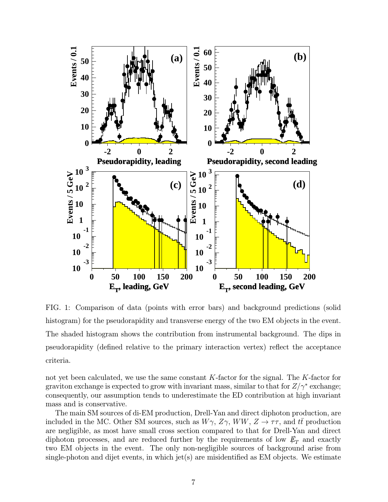

FIG. 1: Comparison of data (points with error bars) and background predictions (solid histogram) for the pseudorapidity and transverse energy of the two EM objects in the event. The shaded histogram shows the contribution from instrumental background. The dips in pseudorapidity (defined relative to the primary interaction vertex) reflect the acceptance criteria.

not yet been calculated, we use the same constant K-factor for the signal. The K-factor for graviton exchange is expected to grow with invariant mass, similar to that for  $Z/\gamma^*$  exchange; consequently, our assumption tends to underestimate the ED contribution at high invariant mass and is conservative.

The main SM sources of di-EM production, Drell-Yan and direct diphoton production, are included in the MC. Other SM sources, such as  $W\gamma$ ,  $Z\gamma$ ,  $WW$ ,  $Z \rightarrow \tau\tau$ , and  $t\bar{t}$  production are negligible, as most have small cross section compared to that for Drell-Yan and direct diphoton processes, and are reduced further by the requirements of low  $E_T$  and exactly two EM objects in the event. The only non-negligible sources of background arise from single-photon and dijet events, in which jet(s) are misidentified as  $EM$  objects. We estimate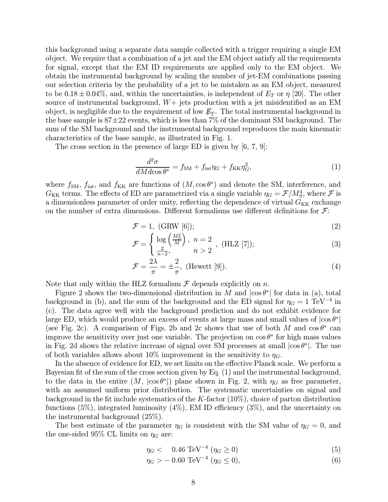this background using a separate data sample collected with a trigger requiring a single EM object. We require that a combination of a jet and the EM object satisfy all the requirements for signal, except that the EM ID requirements are applied only to the EM object. We obtain the instrumental background by scaling the number of jet-EM combinations passing our selection criteria by the probability of a jet to be mistaken as an EM object, measured to be  $0.18 \pm 0.04\%$ , and, within the uncertainties, is independent of  $E_T$  or  $\eta$  [20]. The other source of instrumental background,  $W+$  jets production with a jet misidentified as an EM object, is negligible due to the requirement of low  $E_T$ . The total instrumental background in the base sample is  $87\pm22$  events, which is less than 7% of the dominant SM background. The sum of the SM background and the instrumental background reproduces the main kinematic characteristics of the base sample, as illustrated in Fig. 1.

The cross section in the presence of large ED is given by [6, 7, 9]:

$$
\frac{d^2\sigma}{dMd\cos\theta^*} = f_{\text{SM}} + f_{\text{int}}\eta_G + f_{\text{KK}}\eta_G^2,\tag{1}
$$

where  $f_{\text{SM}}$ ,  $f_{\text{int}}$ , and  $f_{\text{KK}}$  are functions of  $(M, \cos \theta^*)$  and denote the SM, interference, and  $G_{\text{KK}}$  terms. The effects of ED are parametrized via a single variable  $\eta_G = \mathcal{F}/M_S^4$ , where  $\mathcal F$  is a dimensionless parameter of order unity, reflecting the dependence of virtual  $G_{KK}$  exchange on the number of extra dimensions. Different formalisms use different definitions for  $\mathcal{F}$ :

$$
\mathcal{F} = 1, \text{ (GRW [6]}); \tag{2}
$$

$$
\mathcal{F} = \begin{cases} \log\left(\frac{M_S^2}{M}\right), & n = 2\\ \frac{2}{n-2}, & n > 2 \end{cases}, \text{(HLZ [7]);} \tag{3}
$$

$$
\mathcal{F} = \frac{2\lambda}{\pi} = \pm \frac{2}{\pi}, \text{ (Hewett [9]).} \tag{4}
$$

Note that only within the HLZ formalism  $\mathcal F$  depends explicitly on n.

Figure 2 shows the two-dimensional distribution in M and  $|\cos \theta^*|$  for data in (a), total background in (b), and the sum of the background and the ED signal for  $\eta_G = 1 \text{ TeV}^{-4}$  in (c). The data agree well with the background prediction and do not exhibit evidence for large ED, which would produce an excess of events at large mass and small values of  $|\cos \theta^*|$ (see Fig. 2c). A comparison of Figs. 2b and 2c shows that use of both M and  $\cos \theta^*$  can improve the sensitivity over just one variable. The projection on  $\cos \theta^*$  for high mass values in Fig. 2d shows the relative increase of signal over SM processes at small  $|\cos \theta^*|$ . The use of both variables allows about 10% improvement in the sensitivity to  $\eta_G$ .

In the absence of evidence for ED, we set limits on the effective Planck scale. We perform a Bayesian fit of the sum of the cross section given by Eq. (1) and the instrumental background, to the data in the entire  $(M, |\cos \theta^*|)$  plane shown in Fig. 2, with  $\eta_G$  as free parameter, with an assumed uniform prior distribution. The systematic uncertainties on signal and background in the fit include systematics of the  $K$ -factor  $(10\%)$ , choice of parton distribution functions  $(5\%)$ , integrated luminosity  $(4\%)$ , EM ID efficiency  $(3\%)$ , and the uncertainty on the instrumental background (25%).

The best estimate of the parameter  $\eta_G$  is consistent with the SM value of  $\eta_G = 0$ , and the one-sided 95% CL limits on  $\eta_G$  are:

$$
\eta_G < 0.46 \, \text{TeV}^{-4} \left( \eta_G \ge 0 \right) \tag{5}
$$

$$
\eta_G > -0.60 \text{ TeV}^{-4} \ (\eta_G \le 0), \tag{6}
$$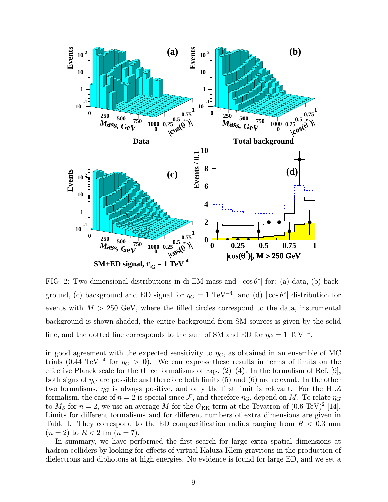

FIG. 2: Two-dimensional distributions in di-EM mass and  $|\cos \theta^*|$  for: (a) data, (b) background, (c) background and ED signal for  $\eta_G = 1 \text{ TeV}^{-4}$ , and (d)  $|\cos \theta^*|$  distribution for events with  $M > 250$  GeV, where the filled circles correspond to the data, instrumental background is shown shaded, the entire background from SM sources is given by the solid line, and the dotted line corresponds to the sum of SM and ED for  $\eta_G = 1 \text{ TeV}^{-4}$ .

in good agreement with the expected sensitivity to  $\eta_G$ , as obtained in an ensemble of MC trials (0.44 TeV<sup>-4</sup> for  $\eta_G > 0$ ). We can express these results in terms of limits on the effective Planck scale for the three formalisms of Eqs.  $(2)$ – $(4)$ . In the formalism of Ref. [9], both signs of  $\eta_G$  are possible and therefore both limits (5) and (6) are relevant. In the other two formalisms,  $\eta_G$  is always positive, and only the first limit is relevant. For the HLZ formalism, the case of  $n = 2$  is special since F, and therefore  $\eta_G$ , depend on M. To relate  $\eta_G$ to  $M<sub>S</sub>$  for  $n = 2$ , we use an average M for the  $G<sub>KK</sub>$  term at the Tevatron of  $(0.6 \text{ TeV})^2$  [14]. Limits for different formalisms and for different numbers of extra dimensions are given in Table I. They correspond to the ED compactification radius ranging from  $R < 0.3$  mm  $(n = 2)$  to  $R < 2$  fm  $(n = 7)$ .

In summary, we have performed the first search for large extra spatial dimensions at hadron colliders by looking for effects of virtual Kaluza-Klein gravitons in the production of dielectrons and diphotons at high energies. No evidence is found for large ED, and we set a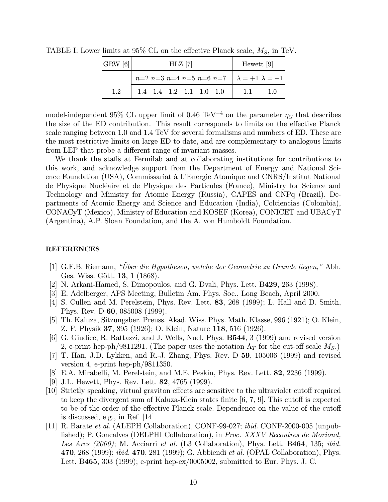| GRW[6] | HLZ 7                                                   |  |  |  |  |  | Hewett $[9]$  |  |
|--------|---------------------------------------------------------|--|--|--|--|--|---------------|--|
|        | $n=2$ n=3 n=4 n=5 n=6 n=7 $\lambda = +1$ $\lambda = -1$ |  |  |  |  |  |               |  |
|        | 1.4 1.4 1.2 1.1 1.0 1.0                                 |  |  |  |  |  | $1 \quad 1.1$ |  |

TABLE I: Lower limits at 95% CL on the effective Planck scale,  $M_S$ , in TeV.

model-independent 95% CL upper limit of 0.46 TeV<sup>-4</sup> on the parameter  $\eta_G$  that describes the size of the ED contribution. This result corresponds to limits on the effective Planck scale ranging between 1.0 and 1.4 TeV for several formalisms and numbers of ED. These are the most restrictive limits on large ED to date, and are complementary to analogous limits from LEP that probe a different range of invariant masses.

We thank the staffs at Fermilab and at collaborating institutions for contributions to this work, and acknowledge support from the Department of Energy and National Science Foundation (USA), Commissariat à L'Energie Atomique and CNRS/Institut National de Physique Nucléaire et de Physique des Particules (France), Ministry for Science and Technology and Ministry for Atomic Energy (Russia), CAPES and CNPq (Brazil), Departments of Atomic Energy and Science and Education (India), Colciencias (Colombia), CONACyT (Mexico), Ministry of Education and KOSEF (Korea), CONICET and UBACyT (Argentina), A.P. Sloan Foundation, and the A. von Humboldt Foundation.

#### REFERENCES

- [1] G.F.B. Riemann, "Über die Hypothesen, welche der Geometrie zu Grunde liegen," Abh. Ges. Wiss. Gött. 13, 1 (1868).
- [2] N. Arkani-Hamed, S. Dimopoulos, and G. Dvali, Phys. Lett. B429, 263 (1998).
- [3] E. Adelberger, APS Meeting, Bulletin Am. Phys. Soc., Long Beach, April 2000.
- [4] S. Cullen and M. Perelstein, Phys. Rev. Lett. 83, 268 (1999); L. Hall and D. Smith, Phys. Rev. D 60, 085008 (1999).
- [5] Th. Kaluza, Sitzungsber. Preuss. Akad. Wiss. Phys. Math. Klasse, 996 (1921); O. Klein, Z. F. Physik 37, 895 (1926); O. Klein, Nature 118, 516 (1926).
- [6] G. Giudice, R. Rattazzi, and J. Wells, Nucl. Phys. B544, 3 (1999) and revised version 2, e-print hep-ph/9811291. (The paper uses the notation  $\Lambda_T$  for the cut-off scale  $M_S$ .)
- [7] T. Han, J.D. Lykken, and R.-J. Zhang, Phys. Rev. D 59, 105006 (1999) and revised version 4, e-print hep-ph/9811350.
- [8] E.A. Mirabelli, M. Perelstein, and M.E. Peskin, Phys. Rev. Lett. 82, 2236 (1999).
- [9] J.L. Hewett, Phys. Rev. Lett. 82, 4765 (1999).
- [10] Strictly speaking, virtual graviton effects are sensitive to the ultraviolet cutoff required to keep the divergent sum of Kaluza-Klein states finite [6, 7, 9]. This cutoff is expected to be of the order of the effective Planck scale. Dependence on the value of the cutoff is discussed, e.g., in Ref. [14].
- [11] R. Barate et al. (ALEPH Collaboration), CONF-99-027; ibid. CONF-2000-005 (unpublished); P. Goncalves (DELPHI Collaboration), in *Proc. XXXV Recontres de Moriond*, Les Arcs (2000); M. Acciarri et al. (L3 Collaboration), Phys. Lett. B464, 135; ibid. 470, 268 (1999); *ibid.* 470, 281 (1999); G. Abbiendi *et al.* (OPAL Collaboration), Phys. Lett. B465, 303 (1999); e-print hep-ex/0005002, submitted to Eur. Phys. J. C.